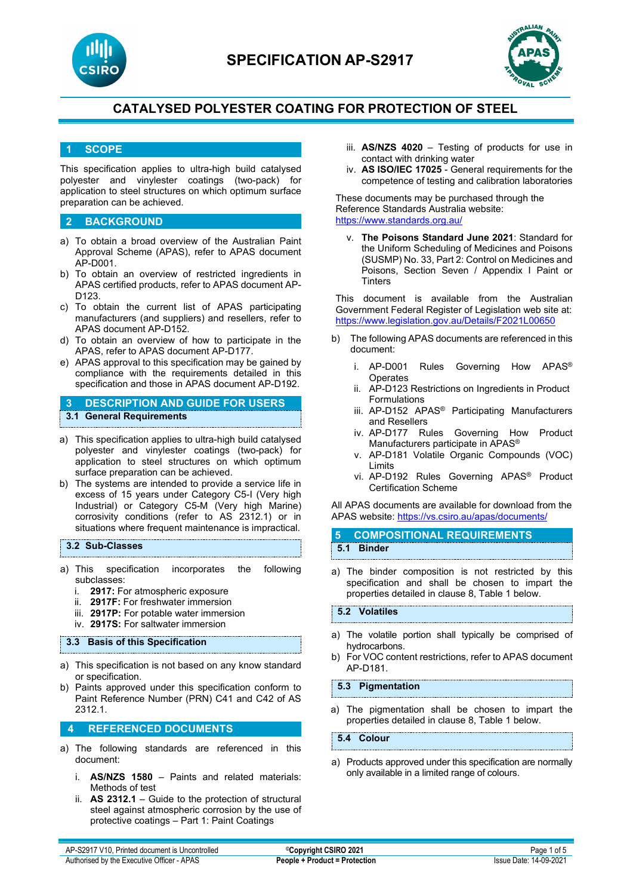



## **1 SCOPE**

This specification applies to ultra-high build catalysed polyester and vinylester coatings (two-pack) for application to steel structures on which optimum surface preparation can be achieved.

#### **2 BACKGROUND**

- a) To obtain a broad overview of the Australian Paint Approval Scheme (APAS), refer to APAS document AP-D001.
- b) To obtain an overview of restricted ingredients in APAS certified products, refer to APAS document AP-D123.
- c) To obtain the current list of APAS participating manufacturers (and suppliers) and resellers, refer to APAS document AP-D152.
- d) To obtain an overview of how to participate in the APAS, refer to APAS document AP-D177.
- e) APAS approval to this specification may be gained by compliance with the requirements detailed in this specification and those in APAS document AP-D192.

### **3 DESCRIPTION AND GUIDE FOR USERS 3.1 General Requirements**

- a) This specification applies to ultra-high build catalysed polyester and vinylester coatings (two-pack) for application to steel structures on which optimum surface preparation can be achieved.
- b) The systems are intended to provide a service life in excess of 15 years under Category C5-I (Very high Industrial) or Category C5-M (Very high Marine) corrosivity conditions (refer to AS 2312.1) or in situations where frequent maintenance is impractical.

#### **3.2 Sub-Classes**

- a) This specification incorporates the following subclasses:
	- i. **2917:** For atmospheric exposure
	- ii. **2917F:** For freshwater immersion
	- iii. **2917P:** For potable water immersion
	- iv. **2917S:** For saltwater immersion

#### **3.3 Basis of this Specification**

- a) This specification is not based on any know standard or specification.
- b) Paints approved under this specification conform to Paint Reference Number (PRN) C41 and C42 of AS 2312.1.

#### **4 REFERENCED DOCUMENTS**

- a) The following standards are referenced in this document:
	- i. **AS/NZS 1580** Paints and related materials: Methods of test
	- ii. **AS 2312.1** Guide to the protection of structural steel against atmospheric corrosion by the use of protective coatings – Part 1: Paint Coatings
- iii. **AS/NZS 4020** Testing of products for use in contact with drinking water
- iv. **AS ISO/IEC 17025**  General requirements for the competence of testing and calibration laboratories

These documents may be purchased through the Reference Standards Australia website: <https://www.standards.org.au/>

v. **The Poisons Standard June 2021**: Standard for the Uniform Scheduling of Medicines and Poisons (SUSMP) No. 33, Part 2: Control on Medicines and Poisons, Section Seven / Appendix I Paint or **Tinters** 

This document is available from the Australian Government Federal Register of Legislation web site at: <https://www.legislation.gov.au/Details/F2021L00650>

- b) The following APAS documents are referenced in this document:
	- i. AP-D001 Rules Governing How APAS® **Operates**
	- ii. AP-D123 Restrictions on Ingredients in Product Formulations
	- iii. AP-D152 APAS® Participating Manufacturers and Resellers
	- iv. AP-D177 Rules Governing How Product Manufacturers participate in APAS®
	- v. AP-D181 Volatile Organic Compounds (VOC) Limits
	- vi. AP-D192 Rules Governing APAS® Product Certification Scheme

All APAS documents are available for download from the APAS website: <https://vs.csiro.au/apas/documents/>

- **5 COMPOSITIONAL REQUIREMENTS 5.1 Binder**
- a) The binder composition is not restricted by this specification and shall be chosen to impart the properties detailed in clause 8, Table 1 below.

#### **5.2 Volatiles**

- a) The volatile portion shall typically be comprised of hydrocarbons.
- b) For VOC content restrictions, refer to APAS document AP-D181.

**5.3 Pigmentation**

a) The pigmentation shall be chosen to impart the properties detailed in clause 8, Table 1 below.

**5.4 Colour**

a) Products approved under this specification are normally only available in a limited range of colours.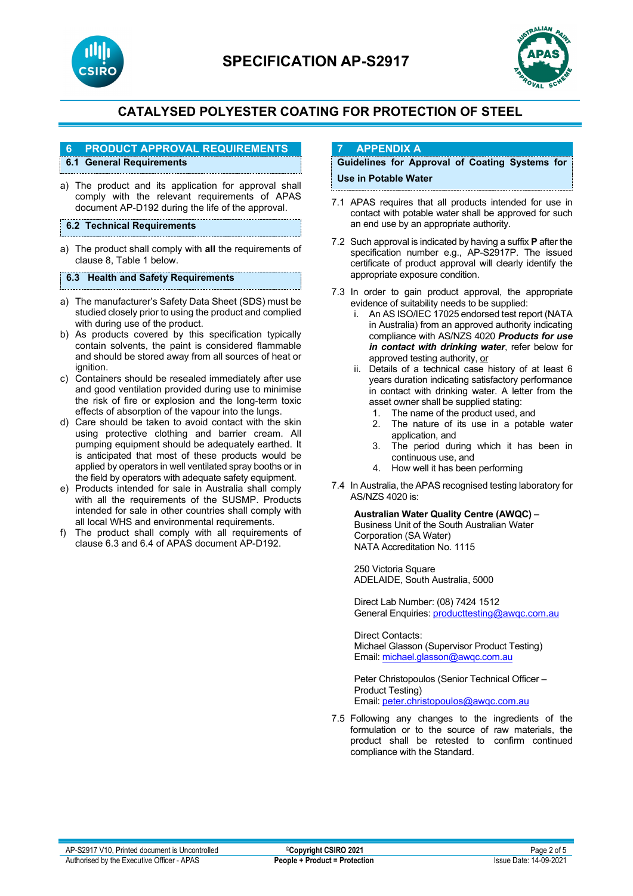



## **6 PRODUCT APPROVAL REQUIREMENTS**

## **6.1 General Requirements**

- a) The product and its application for approval shall comply with the relevant requirements of APAS document AP-D192 during the life of the approval.
- **6.2 Technical Requirements**
- a) The product shall comply with **all** the requirements of clause 8, Table 1 below.

#### **6.3 Health and Safety Requirements**

- a) The manufacturer's Safety Data Sheet (SDS) must be studied closely prior to using the product and complied with during use of the product.
- b) As products covered by this specification typically contain solvents, the paint is considered flammable and should be stored away from all sources of heat or ignition.
- c) Containers should be resealed immediately after use and good ventilation provided during use to minimise the risk of fire or explosion and the long-term toxic effects of absorption of the vapour into the lungs.
- d) Care should be taken to avoid contact with the skin using protective clothing and barrier cream. All pumping equipment should be adequately earthed. It is anticipated that most of these products would be applied by operators in well ventilated spray booths or in the field by operators with adequate safety equipment.
- e) Products intended for sale in Australia shall comply with all the requirements of the SUSMP. Products intended for sale in other countries shall comply with all local WHS and environmental requirements.
- f) The product shall comply with all requirements of clause 6.3 and 6.4 of APAS document AP-D192.

### **7 APPENDIX A**

### **Guidelines for Approval of Coating Systems for Use in Potable Water**

- 7.1 APAS requires that all products intended for use in contact with potable water shall be approved for such an end use by an appropriate authority.
- 7.2 Such approval is indicated by having a suffix **P** after the specification number e.g., AP-S2917P. The issued certificate of product approval will clearly identify the appropriate exposure condition.
- 7.3 In order to gain product approval, the appropriate evidence of suitability needs to be supplied:
	- i. An AS ISO/IEC 17025 endorsed test report (NATA in Australia) from an approved authority indicating compliance with AS/NZS 4020 *Products for use in contact with drinking water*, refer below for approved testing authority, or
	- ii. Details of a technical case history of at least 6 years duration indicating satisfactory performance in contact with drinking water. A letter from the asset owner shall be supplied stating:
		- 1. The name of the product used, and<br>2. The nature of its use in a potable
		- The nature of its use in a potable water application, and
		- 3. The period during which it has been in continuous use, and
		- 4. How well it has been performing
- 7.4 In Australia, the APAS recognised testing laboratory for AS/NZS 4020 is:

**Australian Water Quality Centre (AWQC)** –

Business Unit of the South Australian Water Corporation (SA Water) NATA Accreditation No. 1115

250 Victoria Square ADELAIDE, South Australia, 5000

Direct Lab Number: (08) 7424 1512 General Enquiries[: producttesting@awqc.com.au](mailto:producttesting@awqc.com.au)

Direct Contacts: Michael Glasson (Supervisor Product Testing) Email[: michael.glasson@awqc.com.au](mailto:michael.glasson@awqc.com.au)

Peter Christopoulos (Senior Technical Officer – Product Testing) Email[: peter.christopoulos@awqc.com.au](mailto:peter.christopoulos@awqc.com.au) 

7.5 Following any changes to the ingredients of the formulation or to the source of raw materials, the product shall be retested to confirm continued compliance with the Standard.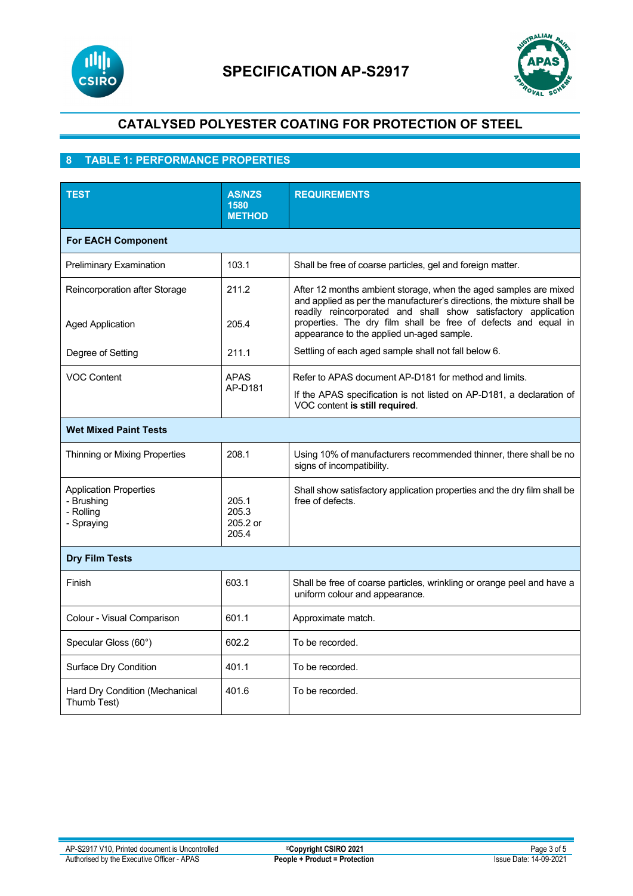



## **8 TABLE 1: PERFORMANCE PROPERTIES**

| <b>TEST</b>                                                            | <b>AS/NZS</b><br>1580<br><b>METHOD</b> | <b>REQUIREMENTS</b>                                                                                                                                                                                          |  |  |
|------------------------------------------------------------------------|----------------------------------------|--------------------------------------------------------------------------------------------------------------------------------------------------------------------------------------------------------------|--|--|
| <b>For EACH Component</b>                                              |                                        |                                                                                                                                                                                                              |  |  |
| Preliminary Examination                                                | 103.1                                  | Shall be free of coarse particles, gel and foreign matter.                                                                                                                                                   |  |  |
| Reincorporation after Storage                                          | 211.2                                  | After 12 months ambient storage, when the aged samples are mixed<br>and applied as per the manufacturer's directions, the mixture shall be<br>readily reincorporated and shall show satisfactory application |  |  |
| <b>Aged Application</b>                                                | 205.4                                  | properties. The dry film shall be free of defects and equal in<br>appearance to the applied un-aged sample.                                                                                                  |  |  |
| Degree of Setting                                                      | 211.1                                  | Settling of each aged sample shall not fall below 6.                                                                                                                                                         |  |  |
| <b>VOC Content</b>                                                     | <b>APAS</b><br>AP-D181                 | Refer to APAS document AP-D181 for method and limits.                                                                                                                                                        |  |  |
|                                                                        |                                        | If the APAS specification is not listed on AP-D181, a declaration of<br>VOC content is still required.                                                                                                       |  |  |
| <b>Wet Mixed Paint Tests</b>                                           |                                        |                                                                                                                                                                                                              |  |  |
| Thinning or Mixing Properties                                          | 208.1                                  | Using 10% of manufacturers recommended thinner, there shall be no<br>signs of incompatibility.                                                                                                               |  |  |
| <b>Application Properties</b><br>- Brushing<br>- Rolling<br>- Spraying | 205.1<br>205.3<br>205.2 or<br>205.4    | Shall show satisfactory application properties and the dry film shall be<br>free of defects.                                                                                                                 |  |  |
| <b>Dry Film Tests</b>                                                  |                                        |                                                                                                                                                                                                              |  |  |
| Finish                                                                 | 603.1                                  | Shall be free of coarse particles, wrinkling or orange peel and have a<br>uniform colour and appearance.                                                                                                     |  |  |
| Colour - Visual Comparison                                             | 601.1                                  | Approximate match.                                                                                                                                                                                           |  |  |
| Specular Gloss (60°)                                                   | 602.2                                  | To be recorded.                                                                                                                                                                                              |  |  |
| Surface Dry Condition                                                  | 401.1                                  | To be recorded.                                                                                                                                                                                              |  |  |
| Hard Dry Condition (Mechanical<br>Thumb Test)                          | 401.6                                  | To be recorded.                                                                                                                                                                                              |  |  |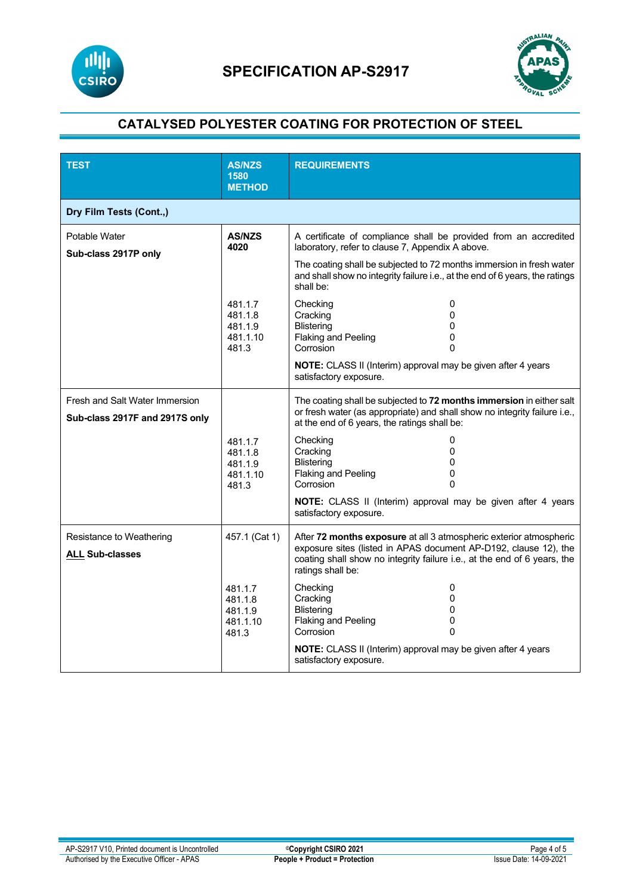



| <b>TEST</b>                                                      | <b>AS/NZS</b><br>1580<br><b>METHOD</b>             | <b>REQUIREMENTS</b>                                                                                                                                                                                                                     |  |  |
|------------------------------------------------------------------|----------------------------------------------------|-----------------------------------------------------------------------------------------------------------------------------------------------------------------------------------------------------------------------------------------|--|--|
| Dry Film Tests (Cont.,)                                          |                                                    |                                                                                                                                                                                                                                         |  |  |
| Potable Water<br>Sub-class 2917P only                            | <b>AS/NZS</b><br>4020                              | A certificate of compliance shall be provided from an accredited<br>laboratory, refer to clause 7, Appendix A above.                                                                                                                    |  |  |
|                                                                  |                                                    | The coating shall be subjected to 72 months immersion in fresh water<br>and shall show no integrity failure i.e., at the end of 6 years, the ratings<br>shall be:                                                                       |  |  |
|                                                                  | 481.1.7<br>481.1.8<br>481.1.9<br>481.1.10<br>481.3 | Checking<br>0<br>Cracking<br>$\Omega$<br><b>Blistering</b><br>0<br>Flaking and Peeling<br>0<br>Corrosion<br>$\Omega$                                                                                                                    |  |  |
|                                                                  |                                                    | NOTE: CLASS II (Interim) approval may be given after 4 years<br>satisfactory exposure.                                                                                                                                                  |  |  |
| Fresh and Salt Water Immersion<br>Sub-class 2917F and 2917S only |                                                    | The coating shall be subjected to 72 months immersion in either salt<br>or fresh water (as appropriate) and shall show no integrity failure i.e.,<br>at the end of 6 years, the ratings shall be:                                       |  |  |
|                                                                  | 481.1.7<br>481.1.8<br>481.1.9<br>481.1.10<br>481.3 | Checking<br>0<br>Cracking<br>0<br><b>Blistering</b><br>0<br><b>Flaking and Peeling</b><br>0<br>Corrosion<br>$\Omega$                                                                                                                    |  |  |
|                                                                  |                                                    | NOTE: CLASS II (Interim) approval may be given after 4 years<br>satisfactory exposure.                                                                                                                                                  |  |  |
| Resistance to Weathering<br><b>ALL Sub-classes</b>               | 457.1 (Cat 1)                                      | After 72 months exposure at all 3 atmospheric exterior atmospheric<br>exposure sites (listed in APAS document AP-D192, clause 12), the<br>coating shall show no integrity failure i.e., at the end of 6 years, the<br>ratings shall be: |  |  |
|                                                                  | 481.1.7<br>481.1.8<br>481.1.9<br>481.1.10<br>481.3 | Checking<br>0<br>Cracking<br>$\Omega$<br><b>Blistering</b><br>0<br>Flaking and Peeling<br>0<br>Corrosion<br>$\Omega$<br>NOTE: CLASS II (Interim) approval may be given after 4 years                                                    |  |  |
|                                                                  |                                                    | satisfactory exposure.                                                                                                                                                                                                                  |  |  |